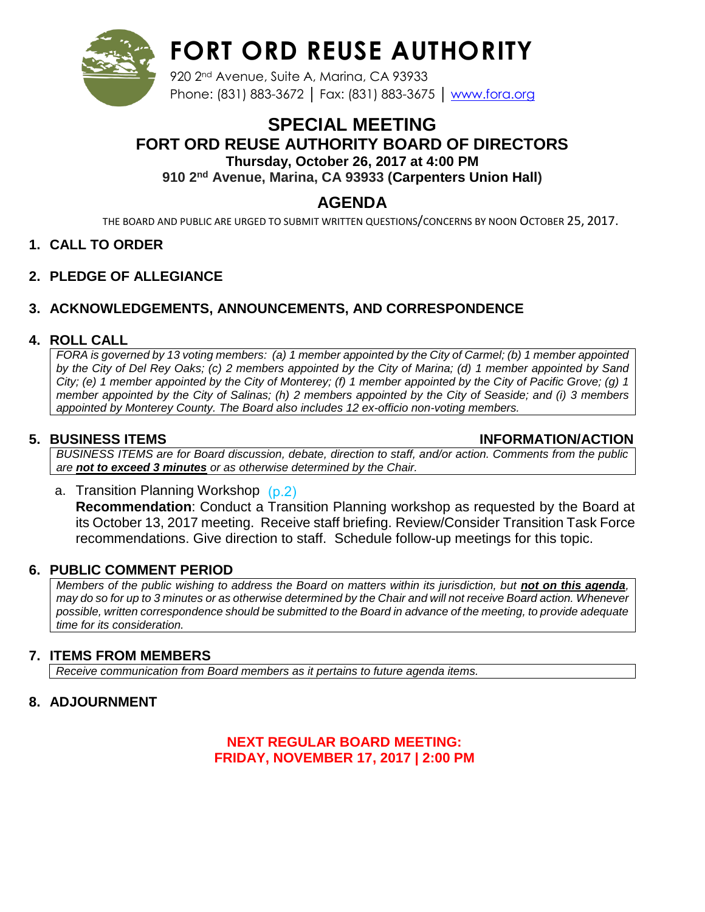

# **FORT ORD REUSE AUTHORITY**

920 2nd Avenue, Suite A, Marina, CA 93933 Phone: (831) 883-3672 | Fax: (831) 883-3675 | [www.fora.org](http://www.fora.org/)

### **SPECIAL MEETING FORT ORD REUSE AUTHORITY BOARD OF DIRECTORS Thursday, October 26, 2017 at 4:00 PM 910 2nd Avenue, Marina, CA 93933 (Carpenters Union Hall)**

## **AGENDA**

THE BOARD AND PUBLIC ARE URGED TO SUBMIT WRITTEN QUESTIONS/CONCERNS BY NOON OCTOBER 25, 2017.

#### **1. CALL TO ORDER**

**2. PLEDGE OF ALLEGIANCE**

### **3. ACKNOWLEDGEMENTS, ANNOUNCEMENTS, AND CORRESPONDENCE**

#### **4. ROLL CALL**

*FORA is governed by 13 voting members: (a) 1 member appointed by the City of Carmel; (b) 1 member appointed by the City of Del Rey Oaks; (c) 2 members appointed by the City of Marina; (d) 1 member appointed by Sand City; (e) 1 member appointed by the City of Monterey; (f) 1 member appointed by the City of Pacific Grove; (g) 1 member appointed by the City of Salinas; (h) 2 members appointed by the City of Seaside; and (i) 3 members appointed by Monterey County. The Board also includes 12 ex-officio non-voting members.*

#### **5. BUSINESS ITEMS INFORMATION/ACTION**

*BUSINESS ITEMS are for Board discussion, debate, direction to staff, and/or action. Comments from the public are not to exceed 3 minutes or as otherwise determined by the Chair.*

a. Transition Planning Workshop [\(p.2\)](#page-1-0) **Recommendation**: Conduct a Transition Planning workshop as requested by the Board at its October 13, 2017 meeting. Receive staff briefing. Review/Consider Transition Task Force recommendations. Give direction to staff. Schedule follow-up meetings for this topic.

#### **6. PUBLIC COMMENT PERIOD**

*Members of the public wishing to address the Board on matters within its jurisdiction, but not on this agenda, may do so for up to 3 minutes or as otherwise determined by the Chair and will not receive Board action. Whenever possible, written correspondence should be submitted to the Board in advance of the meeting, to provide adequate time for its consideration.*

#### **7. ITEMS FROM MEMBERS**

*Receive communication from Board members as it pertains to future agenda items.*

#### **8. ADJOURNMENT**

#### **NEXT REGULAR BOARD MEETING: FRIDAY, NOVEMBER 17, 2017 | 2:00 PM**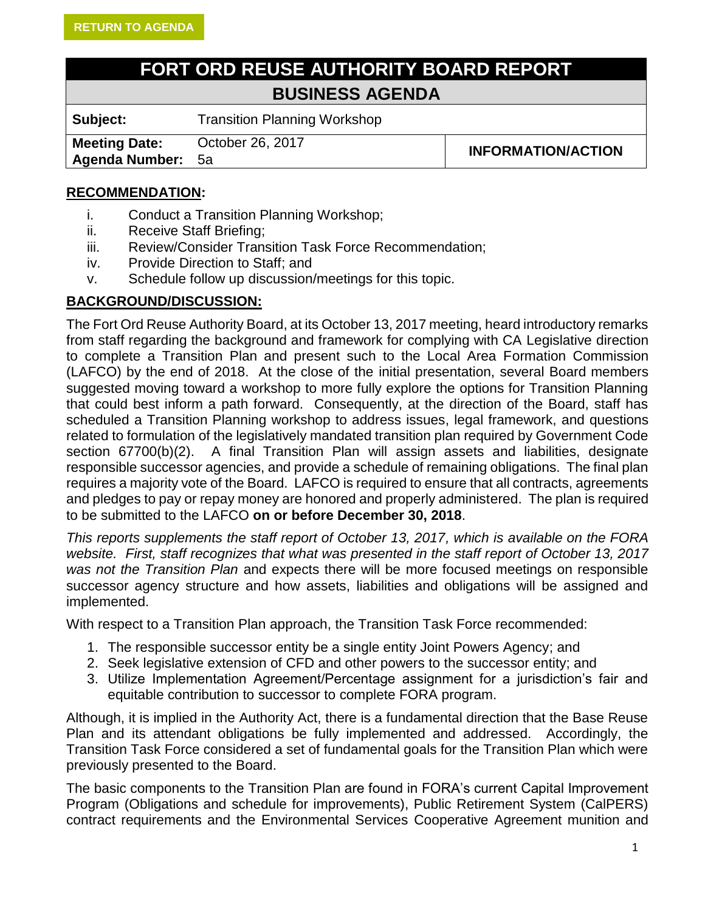# **FORT ORD REUSE AUTHORITY BOARD REPORT BUSINESS AGENDA**

<span id="page-1-0"></span>**Subject:** Transition Planning Workshop

**Meeting Date: Agenda Number:**

October 26, 2017<br>5a

#### **RECOMMENDATION:**

- i. Conduct a Transition Planning Workshop;
- ii. Receive Staff Briefing;
- iii. Review/Consider Transition Task Force Recommendation;
- iv. Provide Direction to Staff; and
- v. Schedule follow up discussion/meetings for this topic.

#### **BACKGROUND/DISCUSSION:**

The Fort Ord Reuse Authority Board, at its October 13, 2017 meeting, heard introductory remarks from staff regarding the background and framework for complying with CA Legislative direction to complete a Transition Plan and present such to the Local Area Formation Commission (LAFCO) by the end of 2018. At the close of the initial presentation, several Board members suggested moving toward a workshop to more fully explore the options for Transition Planning that could best inform a path forward. Consequently, at the direction of the Board, staff has scheduled a Transition Planning workshop to address issues, legal framework, and questions related to formulation of the legislatively mandated transition plan required by Government Code section 67700(b)(2). A final Transition Plan will assign assets and liabilities, designate responsible successor agencies, and provide a schedule of remaining obligations. The final plan requires a majority vote of the Board. LAFCO is required to ensure that all contracts, agreements and pledges to pay or repay money are honored and properly administered. The plan is required to be submitted to the LAFCO **on or before December 30, 2018**.

*This reports supplements the staff report of October 13, 2017, which is available on the FORA website. First, staff recognizes that what was presented in the staff report of October 13, 2017 was not the Transition Plan* and expects there will be more focused meetings on responsible successor agency structure and how assets, liabilities and obligations will be assigned and implemented.

With respect to a Transition Plan approach, the Transition Task Force recommended:

- 1. The responsible successor entity be a single entity Joint Powers Agency; and
- 2. Seek legislative extension of CFD and other powers to the successor entity; and
- 3. Utilize Implementation Agreement/Percentage assignment for a jurisdiction's fair and equitable contribution to successor to complete FORA program.

Although, it is implied in the Authority Act, there is a fundamental direction that the Base Reuse Plan and its attendant obligations be fully implemented and addressed. Accordingly, the Transition Task Force considered a set of fundamental goals for the Transition Plan which were previously presented to the Board.

The basic components to the Transition Plan are found in FORA's current Capital Improvement Program (Obligations and schedule for improvements), Public Retirement System (CalPERS) contract requirements and the Environmental Services Cooperative Agreement munition and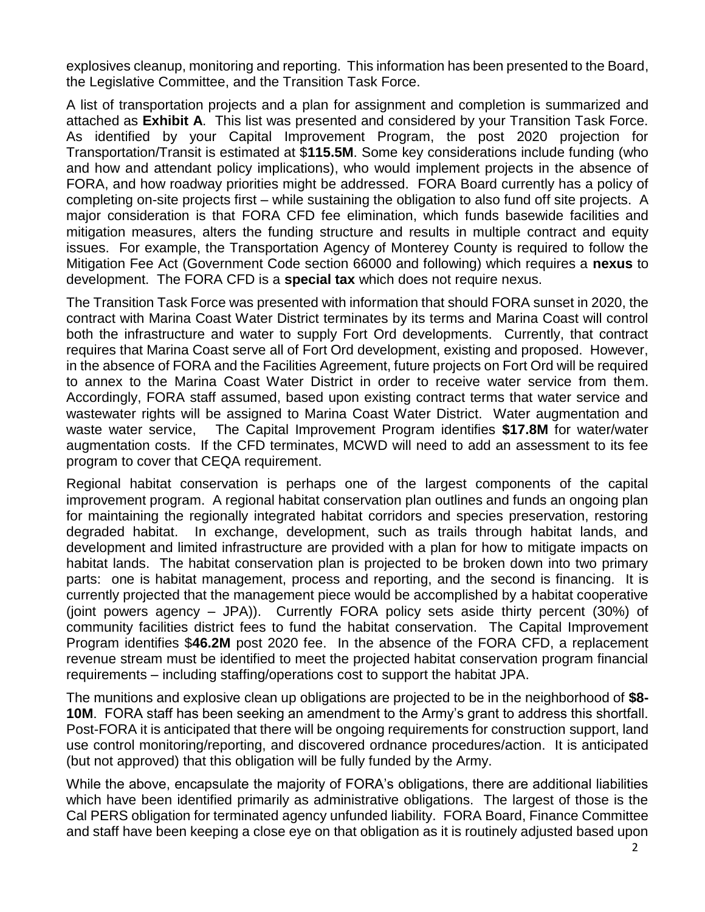explosives cleanup, monitoring and reporting. This information has been presented to the Board, the Legislative Committee, and the Transition Task Force.

A list of transportation projects and a plan for assignment and completion is summarized and attached as **[Exhibit A](#page-5-0)**. This list was presented and considered by your Transition Task Force. As identified by your Capital Improvement Program, the post 2020 projection for Transportation/Transit is estimated at \$**115.5M**. Some key considerations include funding (who and how and attendant policy implications), who would implement projects in the absence of FORA, and how roadway priorities might be addressed. FORA Board currently has a policy of completing on-site projects first – while sustaining the obligation to also fund off site projects. A major consideration is that FORA CFD fee elimination, which funds basewide facilities and mitigation measures, alters the funding structure and results in multiple contract and equity issues. For example, the Transportation Agency of Monterey County is required to follow the Mitigation Fee Act (Government Code section 66000 and following) which requires a **nexus** to development. The FORA CFD is a **special tax** which does not require nexus.

The Transition Task Force was presented with information that should FORA sunset in 2020, the contract with Marina Coast Water District terminates by its terms and Marina Coast will control both the infrastructure and water to supply Fort Ord developments. Currently, that contract requires that Marina Coast serve all of Fort Ord development, existing and proposed. However, in the absence of FORA and the Facilities Agreement, future projects on Fort Ord will be required to annex to the Marina Coast Water District in order to receive water service from them. Accordingly, FORA staff assumed, based upon existing contract terms that water service and wastewater rights will be assigned to Marina Coast Water District. Water augmentation and waste water service, The Capital Improvement Program identifies **\$17.8M** for water/water augmentation costs. If the CFD terminates, MCWD will need to add an assessment to its fee program to cover that CEQA requirement.

Regional habitat conservation is perhaps one of the largest components of the capital improvement program. A regional habitat conservation plan outlines and funds an ongoing plan for maintaining the regionally integrated habitat corridors and species preservation, restoring degraded habitat. In exchange, development, such as trails through habitat lands, and development and limited infrastructure are provided with a plan for how to mitigate impacts on habitat lands. The habitat conservation plan is projected to be broken down into two primary parts: one is habitat management, process and reporting, and the second is financing. It is currently projected that the management piece would be accomplished by a habitat cooperative (joint powers agency – JPA)). Currently FORA policy sets aside thirty percent (30%) of community facilities district fees to fund the habitat conservation. The Capital Improvement Program identifies \$**46.2M** post 2020 fee. In the absence of the FORA CFD, a replacement revenue stream must be identified to meet the projected habitat conservation program financial requirements – including staffing/operations cost to support the habitat JPA.

The munitions and explosive clean up obligations are projected to be in the neighborhood of **\$8- 10M**. FORA staff has been seeking an amendment to the Army's grant to address this shortfall. Post-FORA it is anticipated that there will be ongoing requirements for construction support, land use control monitoring/reporting, and discovered ordnance procedures/action. It is anticipated (but not approved) that this obligation will be fully funded by the Army.

While the above, encapsulate the majority of FORA's obligations, there are additional liabilities which have been identified primarily as administrative obligations. The largest of those is the Cal PERS obligation for terminated agency unfunded liability. FORA Board, Finance Committee and staff have been keeping a close eye on that obligation as it is routinely adjusted based upon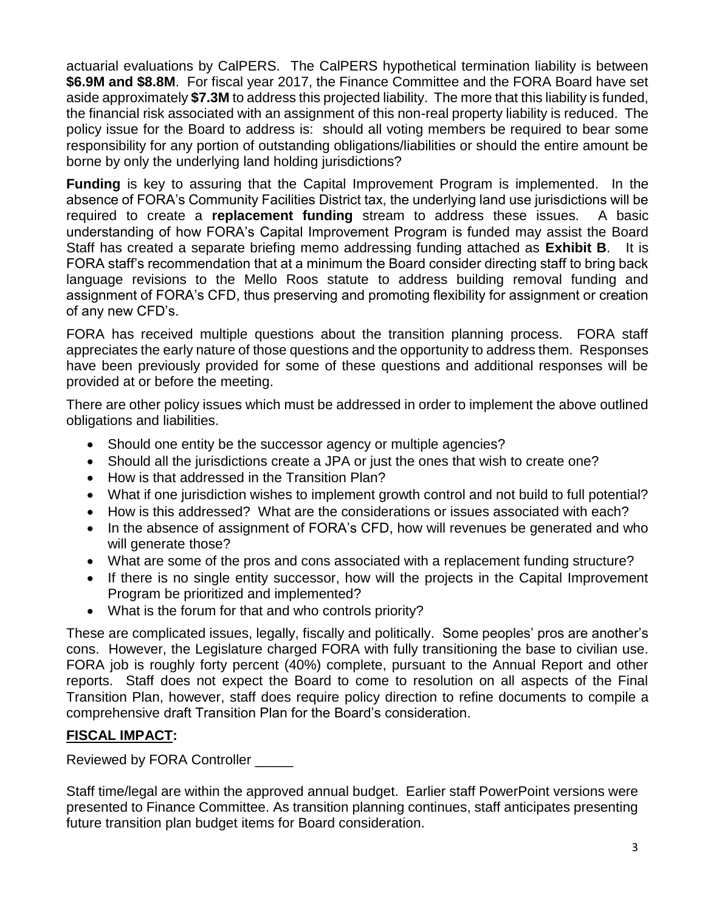actuarial evaluations by CalPERS. The CalPERS hypothetical termination liability is between **\$6.9M and \$8.8M**. For fiscal year 2017, the Finance Committee and the FORA Board have set aside approximately **\$7.3M** to address this projected liability. The more that this liability is funded, the financial risk associated with an assignment of this non-real property liability is reduced. The policy issue for the Board to address is: should all voting members be required to bear some responsibility for any portion of outstanding obligations/liabilities or should the entire amount be borne by only the underlying land holding jurisdictions?

**Funding** is key to assuring that the Capital Improvement Program is implemented. In the absence of FORA's Community Facilities District tax, the underlying land use jurisdictions will be required to create a **replacement funding** stream to address these issues. A basic understanding of how FORA's Capital Improvement Program is funded may assist the Board Staff has created a separate briefing memo addressing funding attached as **[Exhibit B](#page-6-0)**. It is FORA staff's recommendation that at a minimum the Board consider directing staff to bring back language revisions to the Mello Roos statute to address building removal funding and assignment of FORA's CFD, thus preserving and promoting flexibility for assignment or creation of any new CFD's.

FORA has received multiple questions about the transition planning process. FORA staff appreciates the early nature of those questions and the opportunity to address them. Responses have been previously provided for some of these questions and additional responses will be provided at or before the meeting.

There are other policy issues which must be addressed in order to implement the above outlined obligations and liabilities.

- Should one entity be the successor agency or multiple agencies?
- Should all the jurisdictions create a JPA or just the ones that wish to create one?
- How is that addressed in the Transition Plan?
- What if one jurisdiction wishes to implement growth control and not build to full potential?
- How is this addressed? What are the considerations or issues associated with each?
- In the absence of assignment of FORA's CFD, how will revenues be generated and who will generate those?
- What are some of the pros and cons associated with a replacement funding structure?
- If there is no single entity successor, how will the projects in the Capital Improvement Program be prioritized and implemented?
- What is the forum for that and who controls priority?

These are complicated issues, legally, fiscally and politically. Some peoples' pros are another's cons. However, the Legislature charged FORA with fully transitioning the base to civilian use. FORA job is roughly forty percent (40%) complete, pursuant to the Annual Report and other reports. Staff does not expect the Board to come to resolution on all aspects of the Final Transition Plan, however, staff does require policy direction to refine documents to compile a comprehensive draft Transition Plan for the Board's consideration.

#### **FISCAL IMPACT:**

Reviewed by FORA Controller

Staff time/legal are within the approved annual budget. Earlier staff PowerPoint versions were presented to Finance Committee. As transition planning continues, staff anticipates presenting future transition plan budget items for Board consideration.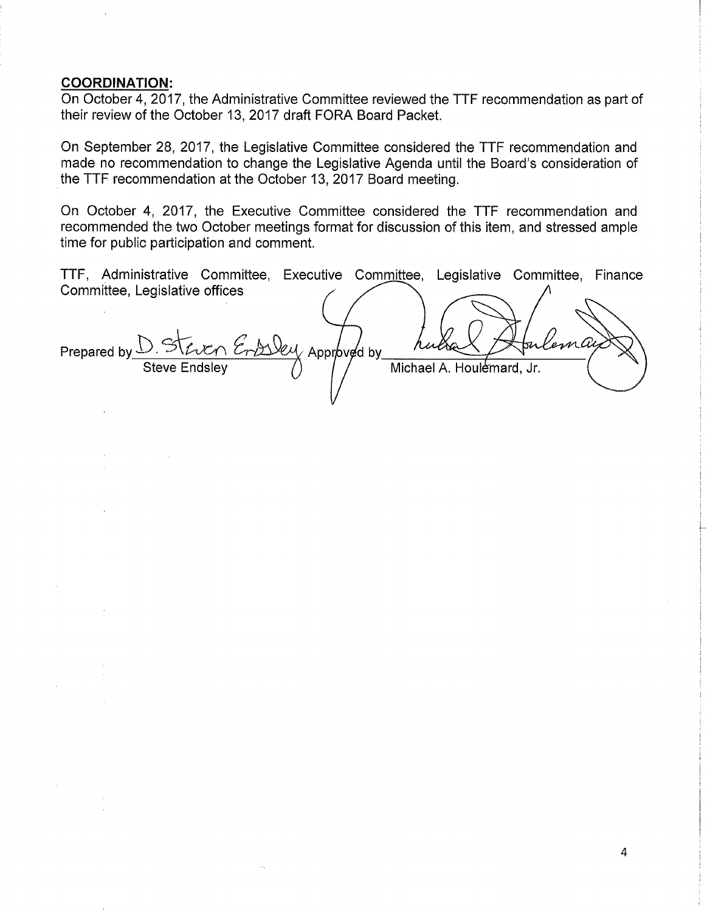#### **COORDINATION:**

On October 4, 2017, the Administrative Committee reviewed the TTF recommendation as part of their review of the October 13, 2017 draft FORA Board Packet.

On September 28, 2017, the Legislative Committee considered the TTF recommendation and made no recommendation to change the Legislative Agenda until the Board's consideration of the TTF recommendation at the October 13, 2017 Board meeting.

On October 4, 2017, the Executive Committee considered the TTF recommendation and recommended the two October meetings format for discussion of this item, and stressed ample time for public participation and comment.

TTF, Administrative Committee, Executive Committee, Legislative Committee, Finance Committee, Legislative offices

sky Approved by Ьгл Prepared by Michael A. Houlemard, Jr.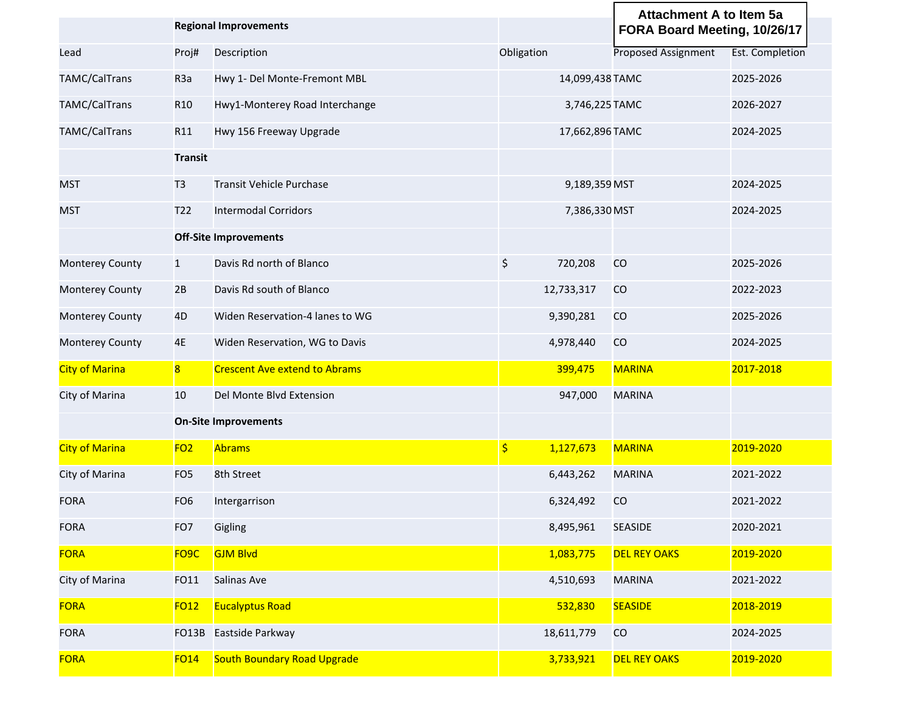<span id="page-5-0"></span>

|                        |                         | <b>Regional Improvements</b>         |                            | <b>Attachment A to Item 5a</b><br>FORA Board Meeting, 10/26/17 |                        |
|------------------------|-------------------------|--------------------------------------|----------------------------|----------------------------------------------------------------|------------------------|
| Lead                   | Proj#                   | Description                          | Obligation                 | Proposed Assignment                                            | <b>Est. Completion</b> |
| TAMC/CalTrans          | R <sub>3</sub> a        | Hwy 1- Del Monte-Fremont MBL         | 14,099,438 TAMC            |                                                                | 2025-2026              |
| TAMC/CalTrans          | R <sub>10</sub>         | Hwy1-Monterey Road Interchange       | 3,746,225 TAMC             |                                                                | 2026-2027              |
| TAMC/CalTrans          | R11                     | Hwy 156 Freeway Upgrade              | 17,662,896 TAMC            |                                                                | 2024-2025              |
|                        | <b>Transit</b>          |                                      |                            |                                                                |                        |
| MST                    | T <sub>3</sub>          | <b>Transit Vehicle Purchase</b>      | 9,189,359 MST              |                                                                | 2024-2025              |
| MST                    | T22                     | <b>Intermodal Corridors</b>          | 7,386,330 MST              |                                                                | 2024-2025              |
|                        |                         | <b>Off-Site Improvements</b>         |                            |                                                                |                        |
| <b>Monterey County</b> | $\mathbf{1}$            | Davis Rd north of Blanco             | \$<br>720,208              | CO                                                             | 2025-2026              |
| <b>Monterey County</b> | 2B                      | Davis Rd south of Blanco             | 12,733,317                 | CO                                                             | 2022-2023              |
| Monterey County        | 4D                      | Widen Reservation-4 lanes to WG      | 9,390,281                  | CO                                                             | 2025-2026              |
| <b>Monterey County</b> | 4E                      | Widen Reservation, WG to Davis       | 4,978,440                  | CO                                                             | 2024-2025              |
| <b>City of Marina</b>  | $\overline{\mathbf{8}}$ | <b>Crescent Ave extend to Abrams</b> | 399,475                    | <b>MARINA</b>                                                  | 2017-2018              |
| City of Marina         | 10                      | Del Monte Blvd Extension             | 947,000                    | <b>MARINA</b>                                                  |                        |
|                        |                         | <b>On-Site Improvements</b>          |                            |                                                                |                        |
| <b>City of Marina</b>  | FO <sub>2</sub>         | <b>Abrams</b>                        | $\frac{1}{2}$<br>1,127,673 | <b>MARINA</b>                                                  | 2019-2020              |
| City of Marina         | FO <sub>5</sub>         | 8th Street                           | 6,443,262                  | <b>MARINA</b>                                                  | 2021-2022              |
| <b>FORA</b>            | FO <sub>6</sub>         | Intergarrison                        | 6,324,492                  | CO                                                             | 2021-2022              |
| FORA                   | FO7                     | Gigling                              | 8,495,961                  | <b>SEASIDE</b>                                                 | 2020-2021              |
| <b>FORA</b>            | FO <sub>9</sub> C       | <b>GJM Blvd</b>                      | 1,083,775                  | <b>DEL REY OAKS</b>                                            | 2019-2020              |
| City of Marina         | FO11                    | Salinas Ave                          | 4,510,693                  | <b>MARINA</b>                                                  | 2021-2022              |
| <b>FORA</b>            | <b>FO12</b>             | <b>Eucalyptus Road</b>               | 532,830                    | <b>SEASIDE</b>                                                 | 2018-2019              |
| <b>FORA</b>            | FO13B                   | Eastside Parkway                     | 18,611,779                 | CO                                                             | 2024-2025              |
| <b>FORA</b>            | <b>FO14</b>             | <b>South Boundary Road Upgrade</b>   | 3,733,921                  | <b>DEL REY OAKS</b>                                            | 2019-2020              |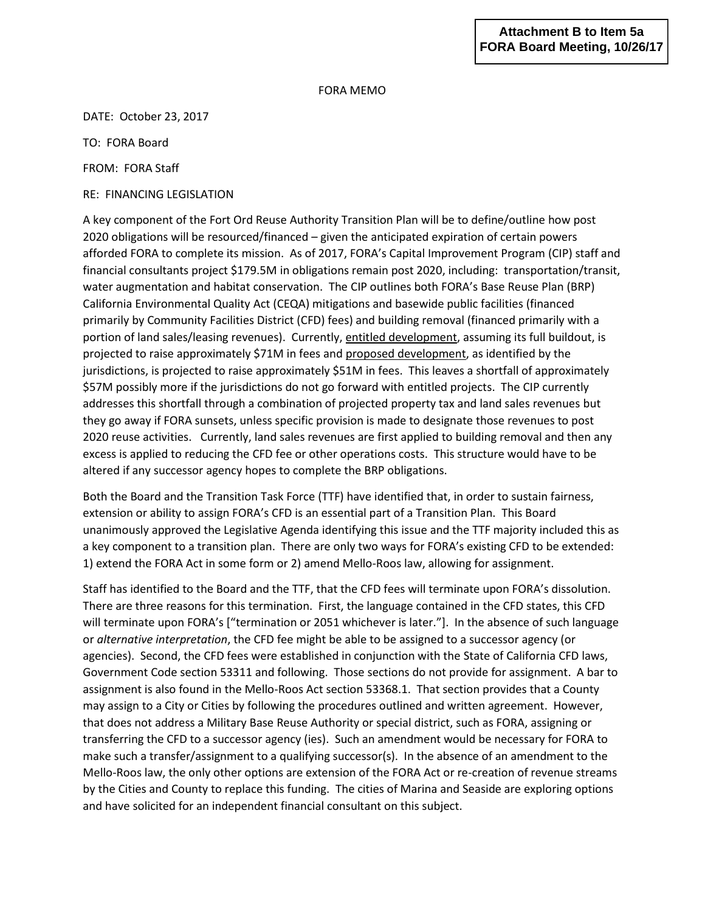#### **Attachment B to Item 5a FORA Board Meeting, 10/26/17**

#### FORA MEMO

<span id="page-6-0"></span>DATE: October 23, 2017

TO: FORA Board

FROM: FORA Staff

RE: FINANCING LEGISLATION

A key component of the Fort Ord Reuse Authority Transition Plan will be to define/outline how post 2020 obligations will be resourced/financed – given the anticipated expiration of certain powers afforded FORA to complete its mission. As of 2017, FORA's Capital Improvement Program (CIP) staff and financial consultants project \$179.5M in obligations remain post 2020, including: transportation/transit, water augmentation and habitat conservation. The CIP outlines both FORA's Base Reuse Plan (BRP) California Environmental Quality Act (CEQA) mitigations and basewide public facilities (financed primarily by Community Facilities District (CFD) fees) and building removal (financed primarily with a portion of land sales/leasing revenues). Currently, entitled development, assuming its full buildout, is projected to raise approximately \$71M in fees and proposed development, as identified by the jurisdictions, is projected to raise approximately \$51M in fees. This leaves a shortfall of approximately \$57M possibly more if the jurisdictions do not go forward with entitled projects. The CIP currently addresses this shortfall through a combination of projected property tax and land sales revenues but they go away if FORA sunsets, unless specific provision is made to designate those revenues to post 2020 reuse activities. Currently, land sales revenues are first applied to building removal and then any excess is applied to reducing the CFD fee or other operations costs. This structure would have to be altered if any successor agency hopes to complete the BRP obligations.

Both the Board and the Transition Task Force (TTF) have identified that, in order to sustain fairness, extension or ability to assign FORA's CFD is an essential part of a Transition Plan. This Board unanimously approved the Legislative Agenda identifying this issue and the TTF majority included this as a key component to a transition plan. There are only two ways for FORA's existing CFD to be extended: 1) extend the FORA Act in some form or 2) amend Mello-Roos law, allowing for assignment.

Staff has identified to the Board and the TTF, that the CFD fees will terminate upon FORA's dissolution. There are three reasons for this termination. First, the language contained in the CFD states, this CFD will terminate upon FORA's ["termination or 2051 whichever is later."]. In the absence of such language or *alternative interpretation*, the CFD fee might be able to be assigned to a successor agency (or agencies). Second, the CFD fees were established in conjunction with the State of California CFD laws, Government Code section 53311 and following. Those sections do not provide for assignment. A bar to assignment is also found in the Mello-Roos Act section 53368.1. That section provides that a County may assign to a City or Cities by following the procedures outlined and written agreement. However, that does not address a Military Base Reuse Authority or special district, such as FORA, assigning or transferring the CFD to a successor agency (ies). Such an amendment would be necessary for FORA to make such a transfer/assignment to a qualifying successor(s). In the absence of an amendment to the Mello-Roos law, the only other options are extension of the FORA Act or re-creation of revenue streams by the Cities and County to replace this funding. The cities of Marina and Seaside are exploring options and have solicited for an independent financial consultant on this subject.